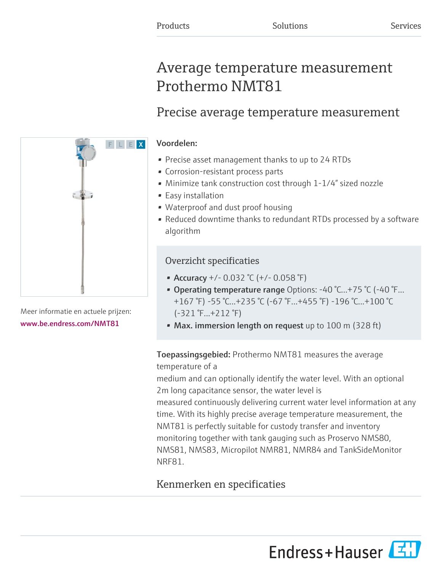# Average temperature measurement Prothermo NMT81

## Precise average temperature measurement

## Voordelen:

- Precise asset management thanks to up to 24 RTDs
- Corrosion-resistant process parts
- Minimize tank construction cost through 1-1/4" sized nozzle
- Easy installation
- Waterproof and dust proof housing
- Reduced downtime thanks to redundant RTDs processed by a software algorithm

## Overzicht specificaties

- Accuracy  $+/- 0.032$  °C ( $+/- 0.058$  °F)
- Operating temperature range Options:  $-40$  °C... $+75$  °C ( $-40$  °F... +167 °F) -55 °C...+235 °C (-67 °F...+455 °F) -196 °C...+100 °C (-321 °F...+212 °F)
- Max. immersion length on request up to 100 m (328 ft)

## **Toepassingsgebied:** Prothermo NMT81 measures the average temperature of a

medium and can optionally identify the water level. With an optional 2m long capacitance sensor, the water level is

measured continuously delivering current water level information at any time. With its highly precise average temperature measurement, the NMT81 is perfectly suitable for custody transfer and inventory monitoring together with tank gauging such as Proservo NMS80, NMS81, NMS83, Micropilot NMR81, NMR84 and TankSideMonitor NRF81.

## Kenmerken en specificaties

Meer informatie en actuele prijzen: [www.be.endress.com/NMT81](https://www.be.endress.com/NMT81)



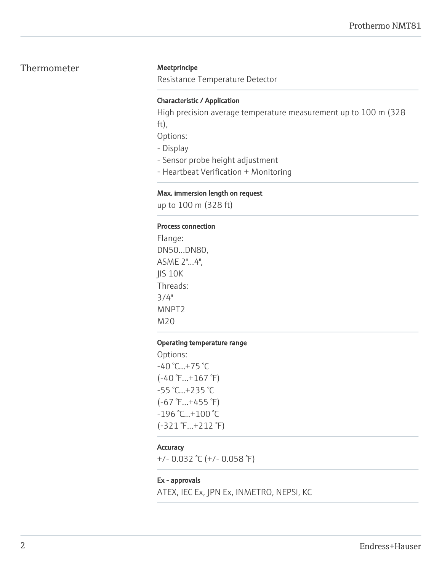## Thermometer Meetprincipe

Resistance Temperature Detector

### Characteristic / Application

High precision average temperature measurement up to 100 m (328 ft),

Options:

- Display
- Sensor probe height adjustment
- Heartbeat Verification + Monitoring

### Max. immersion length on request

up to 100 m (328 ft)

### Process connection

Flange: DN50...DN80, ASME 2"...4", JIS 10K Threads: 3/4" MNPT2 M20

### Operating temperature range

Options: -40 °C...+75 °C  $(-40 \degree F...+167 \degree F)$ -55 °C...+235 °C (-67 °F...+455 °F) -196 °C...+100 °C (-321 °F...+212 °F)

## **Accuracy**

+/- 0.032 °C (+/- 0.058 °F)

## Ex - approvals

ATEX, IEC Ex, JPN Ex, INMETRO, NEPSI, KC